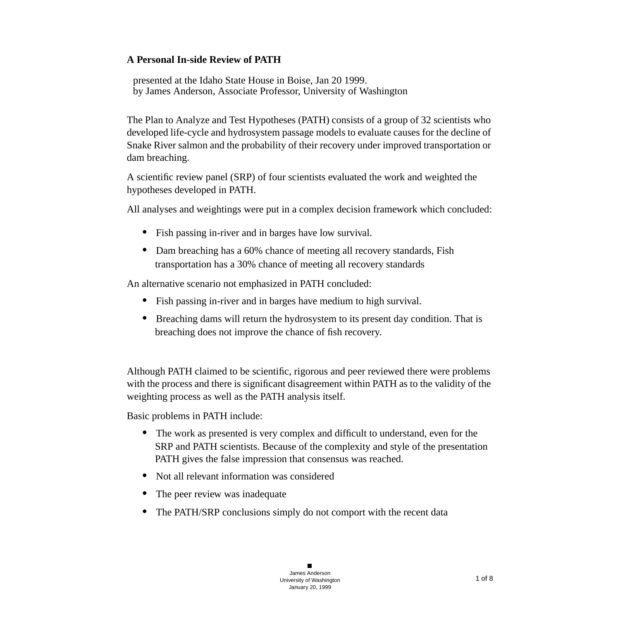### **A Personal In-side Review of PATH**

presented at the Idaho State House in Boise, Jan 20 1999. by James Anderson, Associate Professor, University of Washington

The Plan to Analyze and Test Hypotheses (PATH) consists of a group of 32 scientists who developed life-cycle and hydrosystem passage models to evaluate causes for the decline of Snake River salmon and the probability of their recovery under improved transportation or dam breaching.

A scientific review panel (SRP) of four scientists evaluated the work and weighted the hypotheses developed in PATH.

All analyses and weightings were put in a complex decision framework which concluded:

- **•** Fish passing in-river and in barges have low survival.
- Dam breaching has a 60% chance of meeting all recovery standards, Fish transportation has a 30% chance of meeting all recovery standards

An alternative scenario not emphasized in PATH concluded:

- **•** Fish passing in-river and in barges have medium to high survival.
- **•** Breaching dams will return the hydrosystem to its present day condition. That is breaching does not improve the chance of fish recovery.

Although PATH claimed to be scientific, rigorous and peer reviewed there were problems with the process and there is significant disagreement within PATH as to the validity of the weighting process as well as the PATH analysis itself.

Basic problems in PATH include:

- **•** The work as presented is very complex and difficult to understand, even for the SRP and PATH scientists. Because of the complexity and style of the presentation PATH gives the false impression that consensus was reached.
- Not all relevant information was considered
- The peer review was inadequate
- The PATH/SRP conclusions simply do not comport with the recent data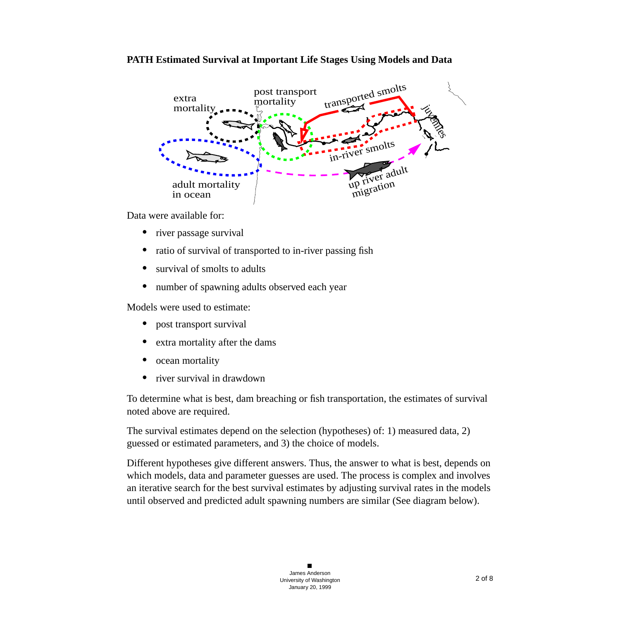#### **PATH Estimated Survival at Important Life Stages Using Models and Data**



Data were available for:

- river passage survival
- ratio of survival of transported to in-river passing fish
- **•** survival of smolts to adults
- number of spawning adults observed each year

Models were used to estimate:

- post transport survival
- **•** extra mortality after the dams
- ocean mortality
- **•** river survival in drawdown

To determine what is best, dam breaching or fish transportation, the estimates of survival noted above are required.

The survival estimates depend on the selection (hypotheses) of: 1) measured data, 2) guessed or estimated parameters, and 3) the choice of models.

Different hypotheses give different answers. Thus, the answer to what is best, depends on which models, data and parameter guesses are used. The process is complex and involves an iterative search for the best survival estimates by adjusting survival rates in the models until observed and predicted adult spawning numbers are similar (See diagram below).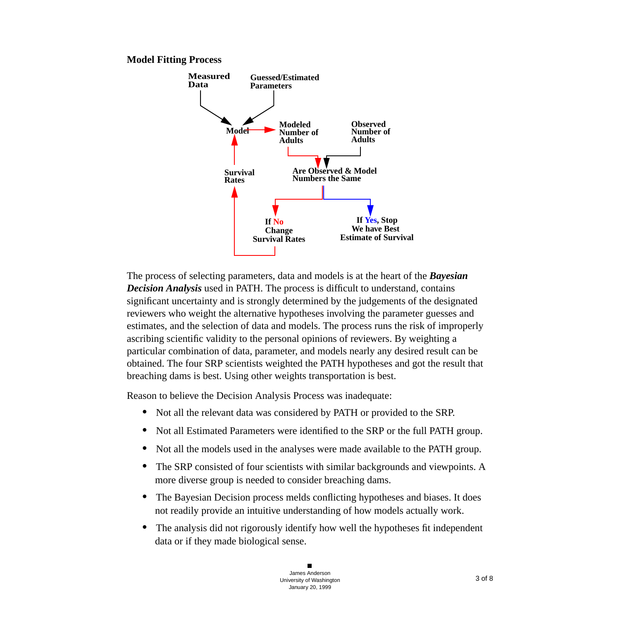



The process of selecting parameters, data and models is at the heart of the *Bayesian Decision Analysis* used in PATH. The process is difficult to understand, contains significant uncertainty and is strongly determined by the judgements of the designated reviewers who weight the alternative hypotheses involving the parameter guesses and estimates, and the selection of data and models. The process runs the risk of improperly ascribing scientific validity to the personal opinions of reviewers. By weighting a particular combination of data, parameter, and models nearly any desired result can be obtained. The four SRP scientists weighted the PATH hypotheses and got the result that breaching dams is best. Using other weights transportation is best.

Reason to believe the Decision Analysis Process was inadequate:

- **•** Not all the relevant data was considered by PATH or provided to the SRP.
- **•** Not all Estimated Parameters were identified to the SRP or the full PATH group.
- **•** Not all the models used in the analyses were made available to the PATH group.
- The SRP consisted of four scientists with similar backgrounds and viewpoints. A more diverse group is needed to consider breaching dams.
- The Bayesian Decision process melds conflicting hypotheses and biases. It does not readily provide an intuitive understanding of how models actually work.
- The analysis did not rigorously identify how well the hypotheses fit independent data or if they made biological sense.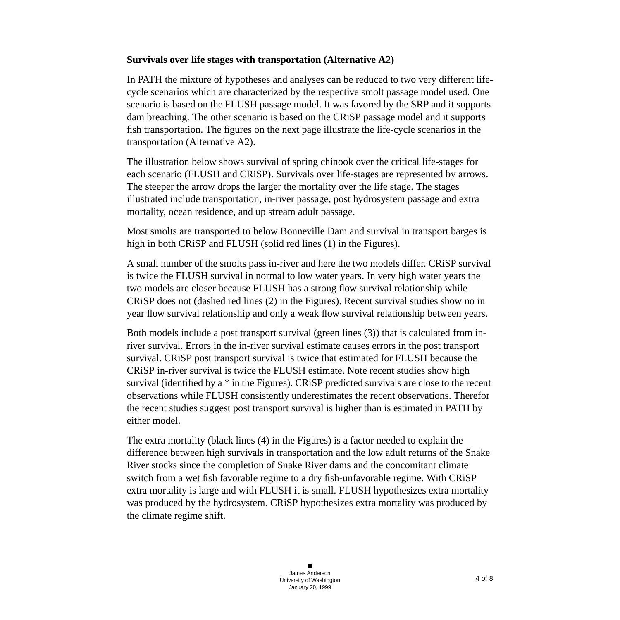### **Survivals over life stages with transportation (Alternative A2)**

In PATH the mixture of hypotheses and analyses can be reduced to two very different lifecycle scenarios which are characterized by the respective smolt passage model used. One scenario is based on the FLUSH passage model. It was favored by the SRP and it supports dam breaching. The other scenario is based on the CRiSP passage model and it supports fish transportation. The figures on the next page illustrate the life-cycle scenarios in the transportation (Alternative A2).

The illustration below shows survival of spring chinook over the critical life-stages for each scenario (FLUSH and CRiSP). Survivals over life-stages are represented by arrows. The steeper the arrow drops the larger the mortality over the life stage. The stages illustrated include transportation, in-river passage, post hydrosystem passage and extra mortality, ocean residence, and up stream adult passage.

Most smolts are transported to below Bonneville Dam and survival in transport barges is high in both CRiSP and FLUSH (solid red lines (1) in the Figures).

A small number of the smolts pass in-river and here the two models differ. CRiSP survival is twice the FLUSH survival in normal to low water years. In very high water years the two models are closer because FLUSH has a strong flow survival relationship while CRiSP does not (dashed red lines (2) in the Figures). Recent survival studies show no in year flow survival relationship and only a weak flow survival relationship between years.

Both models include a post transport survival (green lines (3)) that is calculated from inriver survival. Errors in the in-river survival estimate causes errors in the post transport survival. CRiSP post transport survival is twice that estimated for FLUSH because the CRiSP in-river survival is twice the FLUSH estimate. Note recent studies show high survival (identified by a \* in the Figures). CRiSP predicted survivals are close to the recent observations while FLUSH consistently underestimates the recent observations. Therefor the recent studies suggest post transport survival is higher than is estimated in PATH by either model.

The extra mortality (black lines (4) in the Figures) is a factor needed to explain the difference between high survivals in transportation and the low adult returns of the Snake River stocks since the completion of Snake River dams and the concomitant climate switch from a wet fish favorable regime to a dry fish-unfavorable regime. With CRiSP extra mortality is large and with FLUSH it is small. FLUSH hypothesizes extra mortality was produced by the hydrosystem. CRiSP hypothesizes extra mortality was produced by the climate regime shift.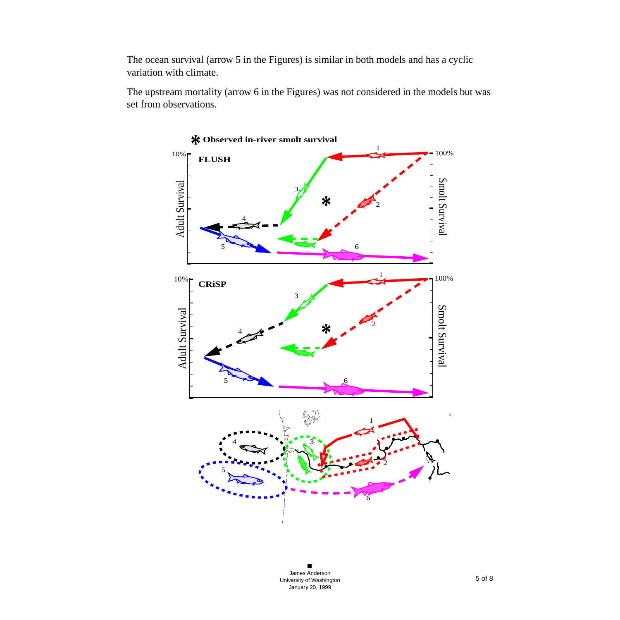The ocean survival (arrow 5 in the Figures) is similar in both models and has a cyclic variation with climate.

The upstream mortality (arrow 6 in the Figures) was not considered in the models but was set from observations.

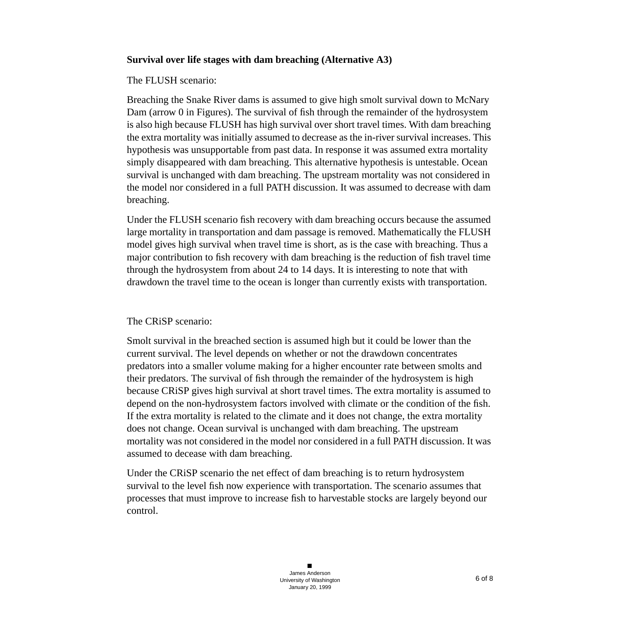### **Survival over life stages with dam breaching (Alternative A3)**

#### The FLUSH scenario:

Breaching the Snake River dams is assumed to give high smolt survival down to McNary Dam (arrow 0 in Figures). The survival of fish through the remainder of the hydrosystem is also high because FLUSH has high survival over short travel times. With dam breaching the extra mortality was initially assumed to decrease as the in-river survival increases. This hypothesis was unsupportable from past data. In response it was assumed extra mortality simply disappeared with dam breaching. This alternative hypothesis is untestable. Ocean survival is unchanged with dam breaching. The upstream mortality was not considered in the model nor considered in a full PATH discussion. It was assumed to decrease with dam breaching.

Under the FLUSH scenario fish recovery with dam breaching occurs because the assumed large mortality in transportation and dam passage is removed. Mathematically the FLUSH model gives high survival when travel time is short, as is the case with breaching. Thus a major contribution to fish recovery with dam breaching is the reduction of fish travel time through the hydrosystem from about 24 to 14 days. It is interesting to note that with drawdown the travel time to the ocean is longer than currently exists with transportation.

#### The CRiSP scenario:

Smolt survival in the breached section is assumed high but it could be lower than the current survival. The level depends on whether or not the drawdown concentrates predators into a smaller volume making for a higher encounter rate between smolts and their predators. The survival of fish through the remainder of the hydrosystem is high because CRiSP gives high survival at short travel times. The extra mortality is assumed to depend on the non-hydrosystem factors involved with climate or the condition of the fish. If the extra mortality is related to the climate and it does not change, the extra mortality does not change. Ocean survival is unchanged with dam breaching. The upstream mortality was not considered in the model nor considered in a full PATH discussion. It was assumed to decease with dam breaching.

Under the CRiSP scenario the net effect of dam breaching is to return hydrosystem survival to the level fish now experience with transportation. The scenario assumes that processes that must improve to increase fish to harvestable stocks are largely beyond our control.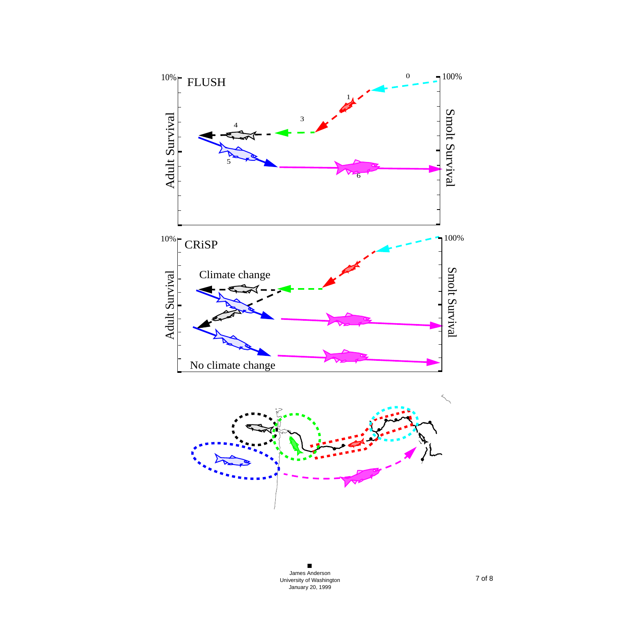